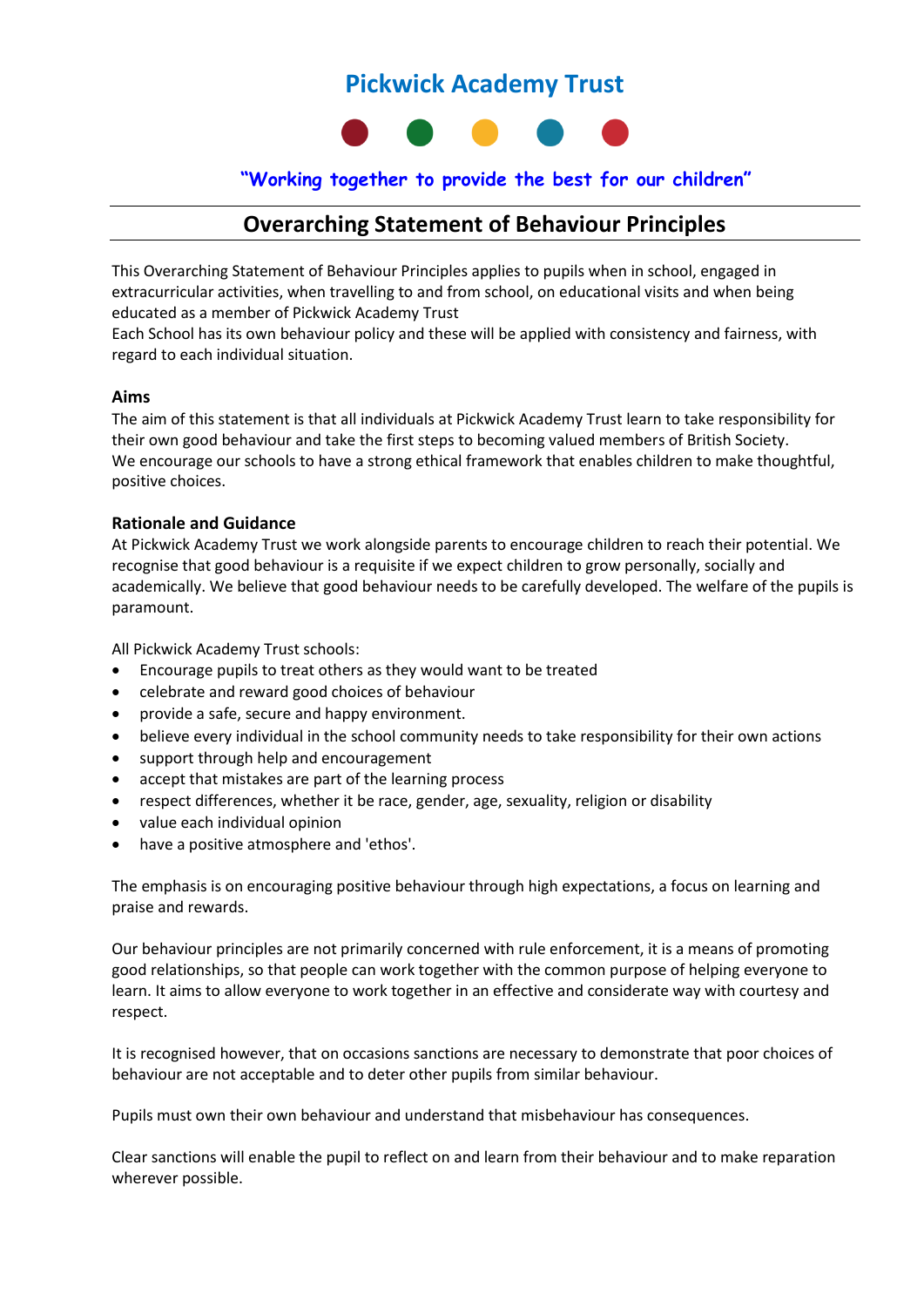# **Pickwick Academy Trust**



### **"Working together to provide the best for our children"**

# **Overarching Statement of Behaviour Principles**

This Overarching Statement of Behaviour Principles applies to pupils when in school, engaged in extracurricular activities, when travelling to and from school, on educational visits and when being educated as a member of Pickwick Academy Trust

Each School has its own behaviour policy and these will be applied with consistency and fairness, with regard to each individual situation.

#### **Aims**

The aim of this statement is that all individuals at Pickwick Academy Trust learn to take responsibility for their own good behaviour and take the first steps to becoming valued members of British Society. We encourage our schools to have a strong ethical framework that enables children to make thoughtful, positive choices.

#### **Rationale and Guidance**

At Pickwick Academy Trust we work alongside parents to encourage children to reach their potential. We recognise that good behaviour is a requisite if we expect children to grow personally, socially and academically. We believe that good behaviour needs to be carefully developed. The welfare of the pupils is paramount.

All Pickwick Academy Trust schools:

- Encourage pupils to treat others as they would want to be treated
- celebrate and reward good choices of behaviour
- provide a safe, secure and happy environment.
- believe every individual in the school community needs to take responsibility for their own actions
- support through help and encouragement
- accept that mistakes are part of the learning process
- respect differences, whether it be race, gender, age, sexuality, religion or disability
- value each individual opinion
- have a positive atmosphere and 'ethos'.

The emphasis is on encouraging positive behaviour through high expectations, a focus on learning and praise and rewards.

Our behaviour principles are not primarily concerned with rule enforcement, it is a means of promoting good relationships, so that people can work together with the common purpose of helping everyone to learn. It aims to allow everyone to work together in an effective and considerate way with courtesy and respect.

It is recognised however, that on occasions sanctions are necessary to demonstrate that poor choices of behaviour are not acceptable and to deter other pupils from similar behaviour.

Pupils must own their own behaviour and understand that misbehaviour has consequences.

Clear sanctions will enable the pupil to reflect on and learn from their behaviour and to make reparation wherever possible.